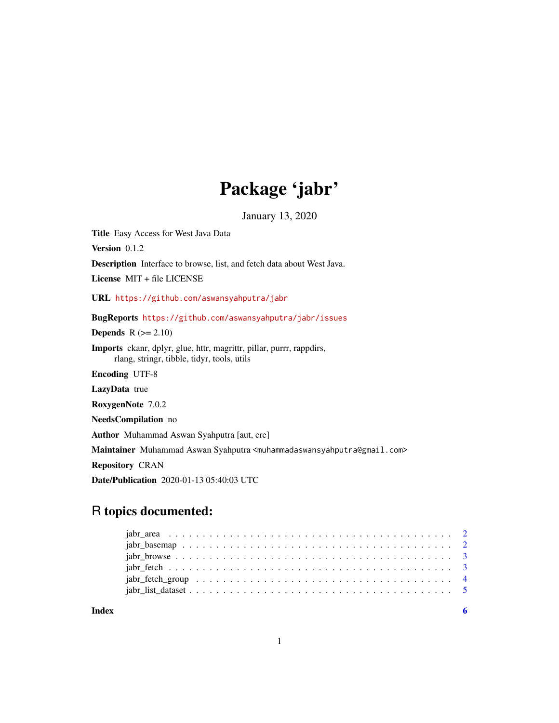## Package 'jabr'

January 13, 2020

Title Easy Access for West Java Data

Version 0.1.2

Description Interface to browse, list, and fetch data about West Java.

License MIT + file LICENSE

URL <https://github.com/aswansyahputra/jabr>

BugReports <https://github.com/aswansyahputra/jabr/issues>

**Depends**  $R (= 2.10)$ 

Imports ckanr, dplyr, glue, httr, magrittr, pillar, purrr, rappdirs, rlang, stringr, tibble, tidyr, tools, utils

Encoding UTF-8

LazyData true

RoxygenNote 7.0.2

NeedsCompilation no

Author Muhammad Aswan Syahputra [aut, cre]

Maintainer Muhammad Aswan Syahputra <muhammadaswansyahputra@gmail.com>

Repository CRAN

Date/Publication 2020-01-13 05:40:03 UTC

### R topics documented:

**Index** [6](#page-5-0) **6**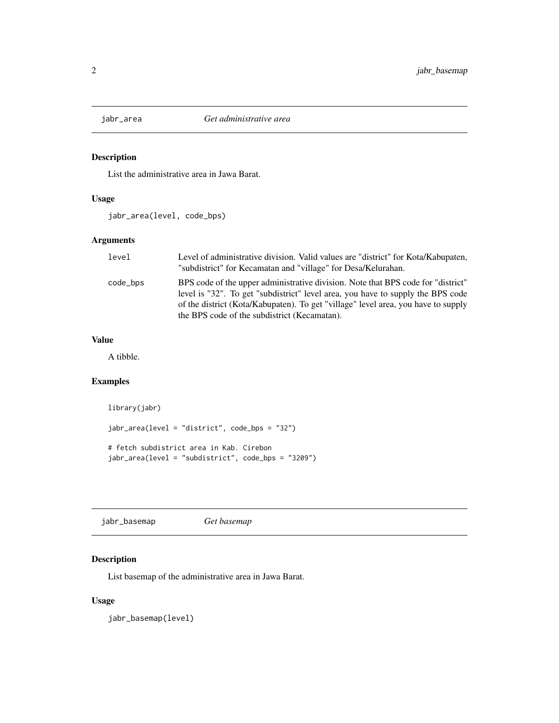<span id="page-1-0"></span>

#### Description

List the administrative area in Jawa Barat.

#### Usage

jabr\_area(level, code\_bps)

#### Arguments

| level    | Level of administrative division. Valid values are "district" for Kota/Kabupaten,<br>"subdistrict" for Kecamatan and "village" for Desa/Kelurahan.                                                                                                                                                       |
|----------|----------------------------------------------------------------------------------------------------------------------------------------------------------------------------------------------------------------------------------------------------------------------------------------------------------|
| code_bps | BPS code of the upper administrative division. Note that BPS code for "district"<br>level is "32". To get "subdistrict" level area, you have to supply the BPS code<br>of the district (Kota/Kabupaten). To get "village" level area, you have to supply<br>the BPS code of the subdistrict (Kecamatan). |

#### Value

A tibble.

#### Examples

```
library(jabr)
jabr_area(level = "district", code_bps = "32")
# fetch subdistrict area in Kab. Cirebon
jabr_area(level = "subdistrict", code_bps = "3209")
```
jabr\_basemap *Get basemap*

#### Description

List basemap of the administrative area in Jawa Barat.

#### Usage

jabr\_basemap(level)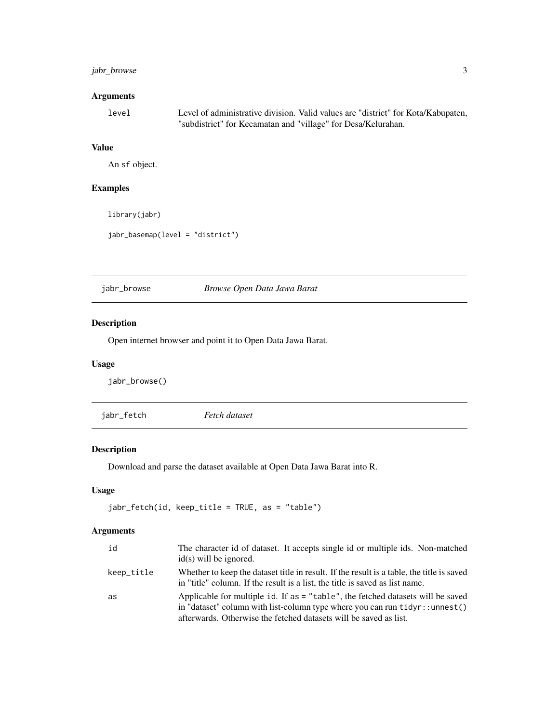#### <span id="page-2-0"></span>jabr\_browse 3

#### Arguments

| level | Level of administrative division. Valid values are "district" for Kota/Kabupaten, |
|-------|-----------------------------------------------------------------------------------|
|       | "subdistrict" for Kecamatan and "village" for Desa/Kelurahan.                     |

#### Value

An sf object.

#### Examples

library(jabr)

```
jabr_basemap(level = "district")
```
jabr\_browse *Browse Open Data Jawa Barat*

#### Description

Open internet browser and point it to Open Data Jawa Barat.

#### Usage

jabr\_browse()

| jabr_fetch | Fetch dataset |
|------------|---------------|
|            |               |

#### Description

Download and parse the dataset available at Open Data Jawa Barat into R.

#### Usage

```
jabr_fetch(id, keep_title = TRUE, as = "table")
```
#### Arguments

| id         | The character id of dataset. It accepts single id or multiple ids. Non-matched<br>$id(s)$ will be ignored.                                                                                                                                 |
|------------|--------------------------------------------------------------------------------------------------------------------------------------------------------------------------------------------------------------------------------------------|
| keep_title | Whether to keep the dataset title in result. If the result is a table, the title is saved<br>in "title" column. If the result is a list, the title is saved as list name.                                                                  |
| as         | Applicable for multiple id. If as = "table", the fetched datasets will be saved<br>in "dataset" column with list-column type where you can run $t_i$ idyr: : unnest()<br>afterwards. Otherwise the fetched datasets will be saved as list. |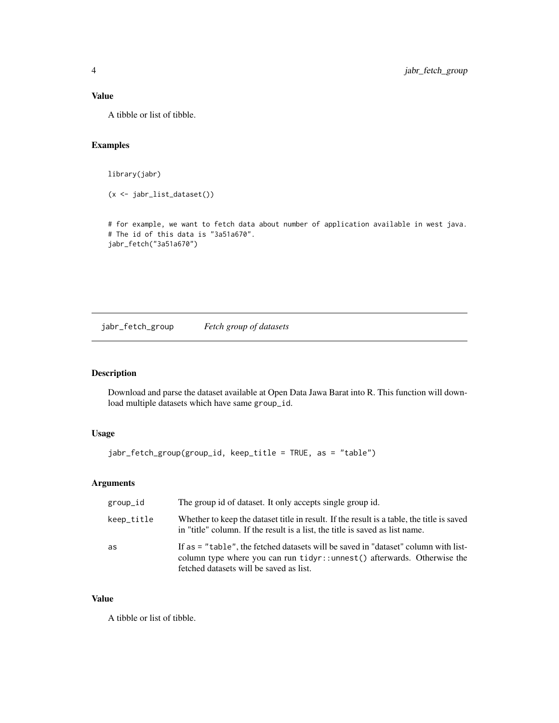#### <span id="page-3-0"></span>Value

A tibble or list of tibble.

#### Examples

library(jabr)

(x <- jabr\_list\_dataset())

# for example, we want to fetch data about number of application available in west java. # The id of this data is "3a51a670". jabr\_fetch("3a51a670")

jabr\_fetch\_group *Fetch group of datasets*

#### Description

Download and parse the dataset available at Open Data Jawa Barat into R. This function will download multiple datasets which have same group\_id.

#### Usage

jabr\_fetch\_group(group\_id, keep\_title = TRUE, as = "table")

#### Arguments

| group_id   | The group id of dataset. It only accepts single group id.                                                                                                                                                |
|------------|----------------------------------------------------------------------------------------------------------------------------------------------------------------------------------------------------------|
| keep_title | Whether to keep the dataset title in result. If the result is a table, the title is saved<br>in "title" column. If the result is a list, the title is saved as list name.                                |
| as         | If as = "table", the fetched datasets will be saved in "dataset" column with list-<br>column type where you can run tidyr::unnest() afterwards. Otherwise the<br>fetched datasets will be saved as list. |

#### Value

A tibble or list of tibble.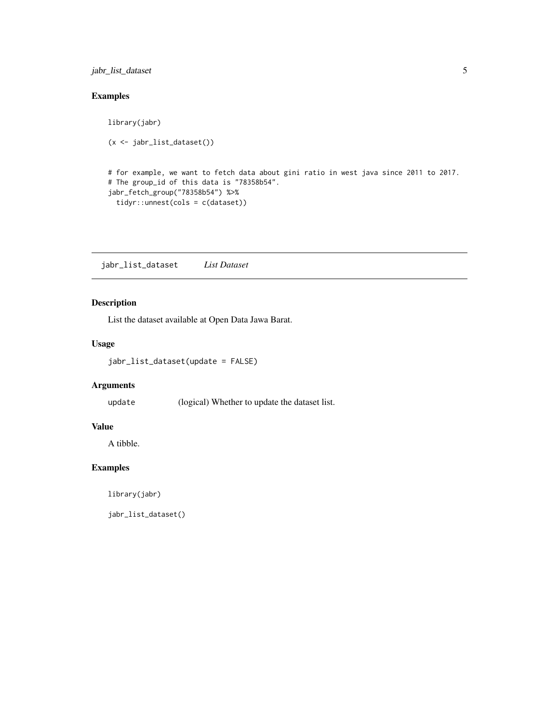#### <span id="page-4-0"></span>jabr\_list\_dataset 5

#### Examples

```
library(jabr)
(x <- jabr_list_dataset())
# for example, we want to fetch data about gini ratio in west java since 2011 to 2017.
# The group_id of this data is "78358b54".
jabr_fetch_group("78358b54") %>%
  tidyr::unnest(cols = c(dataset))
```
jabr\_list\_dataset *List Dataset*

#### Description

List the dataset available at Open Data Jawa Barat.

#### Usage

jabr\_list\_dataset(update = FALSE)

#### Arguments

update (logical) Whether to update the dataset list.

#### Value

A tibble.

#### Examples

library(jabr)

jabr\_list\_dataset()